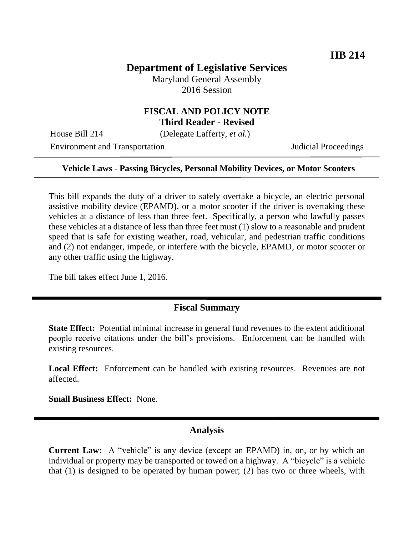# **Department of Legislative Services**

Maryland General Assembly 2016 Session

### **FISCAL AND POLICY NOTE Third Reader - Revised**

House Bill 214 (Delegate Lafferty, *et al.*)

Environment and Transportation **Internal Acceptual Proceedings** 

#### **Vehicle Laws - Passing Bicycles, Personal Mobility Devices, or Motor Scooters**

This bill expands the duty of a driver to safely overtake a bicycle, an electric personal assistive mobility device (EPAMD), or a motor scooter if the driver is overtaking these vehicles at a distance of less than three feet. Specifically, a person who lawfully passes these vehicles at a distance of less than three feet must (1) slow to a reasonable and prudent speed that is safe for existing weather, road, vehicular, and pedestrian traffic conditions and (2) not endanger, impede, or interfere with the bicycle, EPAMD, or motor scooter or any other traffic using the highway.

The bill takes effect June 1, 2016.

### **Fiscal Summary**

**State Effect:** Potential minimal increase in general fund revenues to the extent additional people receive citations under the bill's provisions. Enforcement can be handled with existing resources.

Local Effect: Enforcement can be handled with existing resources. Revenues are not affected.

**Small Business Effect:** None.

#### **Analysis**

**Current Law:** A "vehicle" is any device (except an EPAMD) in, on, or by which an individual or property may be transported or towed on a highway. A "bicycle" is a vehicle that (1) is designed to be operated by human power; (2) has two or three wheels, with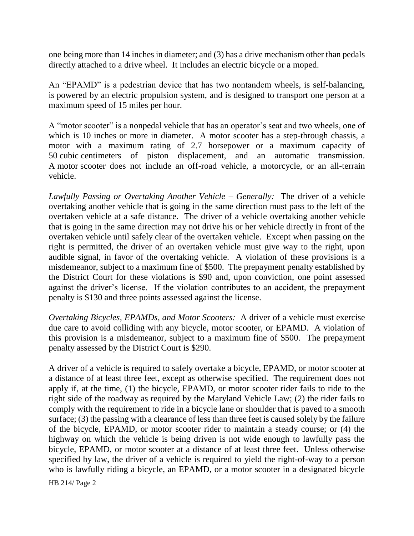one being more than 14 inches in diameter; and (3) has a drive mechanism other than pedals directly attached to a drive wheel. It includes an electric bicycle or a moped.

An "EPAMD" is a pedestrian device that has two nontandem wheels, is self-balancing, is powered by an electric propulsion system, and is designed to transport one person at a maximum speed of 15 miles per hour.

A "motor scooter" is a nonpedal vehicle that has an operator's seat and two wheels, one of which is 10 inches or more in diameter. A motor scooter has a step-through chassis, a motor with a maximum rating of 2.7 horsepower or a maximum capacity of 50 cubic centimeters of piston displacement, and an automatic transmission. A motor scooter does not include an off-road vehicle, a motorcycle, or an all-terrain vehicle.

*Lawfully Passing or Overtaking Another Vehicle – Generally:* The driver of a vehicle overtaking another vehicle that is going in the same direction must pass to the left of the overtaken vehicle at a safe distance. The driver of a vehicle overtaking another vehicle that is going in the same direction may not drive his or her vehicle directly in front of the overtaken vehicle until safely clear of the overtaken vehicle. Except when passing on the right is permitted, the driver of an overtaken vehicle must give way to the right, upon audible signal, in favor of the overtaking vehicle. A violation of these provisions is a misdemeanor, subject to a maximum fine of \$500. The prepayment penalty established by the District Court for these violations is \$90 and, upon conviction, one point assessed against the driver's license. If the violation contributes to an accident, the prepayment penalty is \$130 and three points assessed against the license.

*Overtaking Bicycles, EPAMDs, and Motor Scooters:* A driver of a vehicle must exercise due care to avoid colliding with any bicycle, motor scooter, or EPAMD. A violation of this provision is a misdemeanor, subject to a maximum fine of \$500. The prepayment penalty assessed by the District Court is \$290.

A driver of a vehicle is required to safely overtake a bicycle, EPAMD, or motor scooter at a distance of at least three feet, except as otherwise specified. The requirement does not apply if, at the time, (1) the bicycle, EPAMD, or motor scooter rider fails to ride to the right side of the roadway as required by the Maryland Vehicle Law; (2) the rider fails to comply with the requirement to ride in a bicycle lane or shoulder that is paved to a smooth surface; (3) the passing with a clearance of less than three feet is caused solely by the failure of the bicycle, EPAMD, or motor scooter rider to maintain a steady course; or (4) the highway on which the vehicle is being driven is not wide enough to lawfully pass the bicycle, EPAMD, or motor scooter at a distance of at least three feet. Unless otherwise specified by law, the driver of a vehicle is required to yield the right-of-way to a person who is lawfully riding a bicycle, an EPAMD, or a motor scooter in a designated bicycle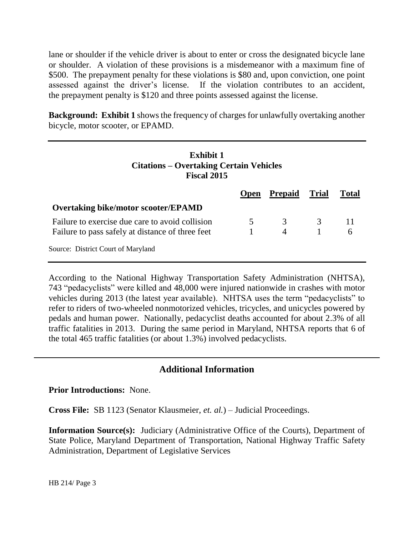lane or shoulder if the vehicle driver is about to enter or cross the designated bicycle lane or shoulder. A violation of these provisions is a misdemeanor with a maximum fine of \$500. The prepayment penalty for these violations is \$80 and, upon conviction, one point assessed against the driver's license. If the violation contributes to an accident, the prepayment penalty is \$120 and three points assessed against the license.

**Background: Exhibit 1** shows the frequency of charges for unlawfully overtaking another bicycle, motor scooter, or EPAMD.

**Exhibit 1**

| Exhibit 1<br><b>Citations – Overtaking Certain Vehicles</b><br><b>Fiscal 2015</b> |             |                |       |       |
|-----------------------------------------------------------------------------------|-------------|----------------|-------|-------|
|                                                                                   | <b>Open</b> | <b>Prepaid</b> | Trial | Total |
| <b>Overtaking bike/motor scooter/EPAMD</b>                                        |             |                |       |       |
| Failure to exercise due care to avoid collision                                   | 5           | 3              | 3     |       |
| Failure to pass safely at distance of three feet                                  |             | $\overline{4}$ |       | 6     |
| Source: District Court of Maryland                                                |             |                |       |       |

According to the National Highway Transportation Safety Administration (NHTSA), 743 "pedacyclists" were killed and 48,000 were injured nationwide in crashes with motor vehicles during 2013 (the latest year available). NHTSA uses the term "pedacyclists" to refer to riders of two-wheeled nonmotorized vehicles, tricycles, and unicycles powered by pedals and human power. Nationally, pedacyclist deaths accounted for about 2.3% of all traffic fatalities in 2013. During the same period in Maryland, NHTSA reports that 6 of the total 465 traffic fatalities (or about 1.3%) involved pedacyclists.

## **Additional Information**

**Prior Introductions:** None.

**Cross File:** SB 1123 (Senator Klausmeier, *et. al.*) – Judicial Proceedings.

**Information Source(s):** Judiciary (Administrative Office of the Courts), Department of State Police, Maryland Department of Transportation, National Highway Traffic Safety Administration, Department of Legislative Services